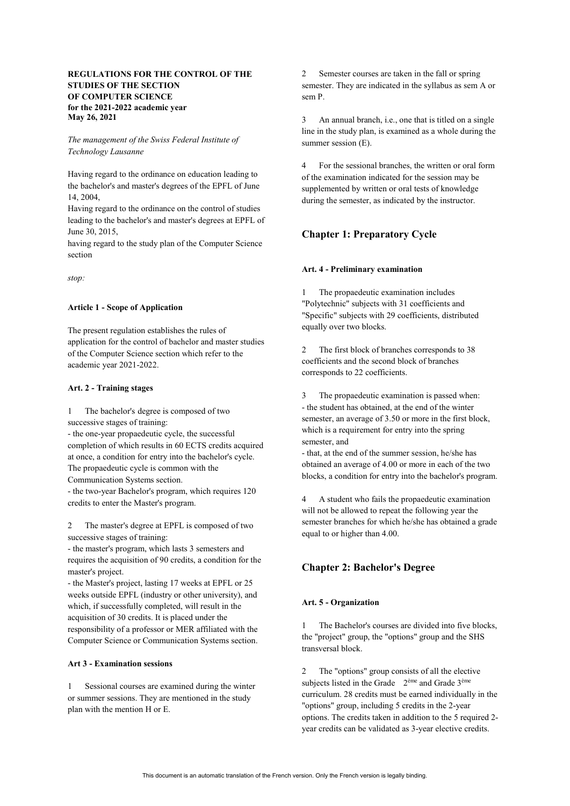## **REGULATIONS FOR THE CONTROL OF THE STUDIES OF THE SECTION OF COMPUTER SCIENCE for the 2021-2022 academic year May 26, 2021**

*The management of the Swiss Federal Institute of Technology Lausanne*

Having regard to the ordinance on education leading to the bachelor's and master's degrees of the EPFL of June 14, 2004,

Having regard to the ordinance on the control of studies leading to the bachelor's and master's degrees at EPFL of June 30, 2015,

having regard to the study plan of the Computer Science section

*stop:*

#### **Article 1 - Scope of Application**

The present regulation establishes the rules of application for the control of bachelor and master studies of the Computer Science section which refer to the academic year 2021-2022.

#### **Art. 2 - Training stages**

1 The bachelor's degree is composed of two successive stages of training:

- the one-year propaedeutic cycle, the successful completion of which results in 60 ECTS credits acquired at once, a condition for entry into the bachelor's cycle. The propaedeutic cycle is common with the

Communication Systems section.

- the two-year Bachelor's program, which requires 120 credits to enter the Master's program.

2 The master's degree at EPFL is composed of two successive stages of training:

- the master's program, which lasts 3 semesters and requires the acquisition of 90 credits, a condition for the master's project.

- the Master's project, lasting 17 weeks at EPFL or 25 weeks outside EPFL (industry or other university), and which, if successfully completed, will result in the acquisition of 30 credits. It is placed under the responsibility of a professor or MER affiliated with the Computer Science or Communication Systems section.

### **Art 3 - Examination sessions**

1 Sessional courses are examined during the winter or summer sessions. They are mentioned in the study plan with the mention H or E.

2 Semester courses are taken in the fall or spring semester. They are indicated in the syllabus as sem A or sem P.

3 An annual branch, i.e., one that is titled on a single line in the study plan, is examined as a whole during the summer session (E).

4 For the sessional branches, the written or oral form of the examination indicated for the session may be supplemented by written or oral tests of knowledge during the semester, as indicated by the instructor.

## **Chapter 1: Preparatory Cycle**

#### **Art. 4 - Preliminary examination**

1 The propaedeutic examination includes "Polytechnic" subjects with 31 coefficients and "Specific" subjects with 29 coefficients, distributed equally over two blocks.

2 The first block of branches corresponds to 38 coefficients and the second block of branches corresponds to 22 coefficients.

3 The propaedeutic examination is passed when: - the student has obtained, at the end of the winter semester, an average of 3.50 or more in the first block, which is a requirement for entry into the spring semester, and

- that, at the end of the summer session, he/she has obtained an average of 4.00 or more in each of the two blocks, a condition for entry into the bachelor's program.

4 A student who fails the propaedeutic examination will not be allowed to repeat the following year the semester branches for which he/she has obtained a grade equal to or higher than 4.00.

# **Chapter 2: Bachelor's Degree**

### **Art. 5 - Organization**

1 The Bachelor's courses are divided into five blocks, the "project" group, the "options" group and the SHS transversal block.

2 The "options" group consists of all the elective subjects listed in the Grade  $2<sup>eme</sup>$  and Grade  $3<sup>eme</sup>$ curriculum. 28 credits must be earned individually in the "options" group, including 5 credits in the 2-year options. The credits taken in addition to the 5 required 2 year credits can be validated as 3-year elective credits.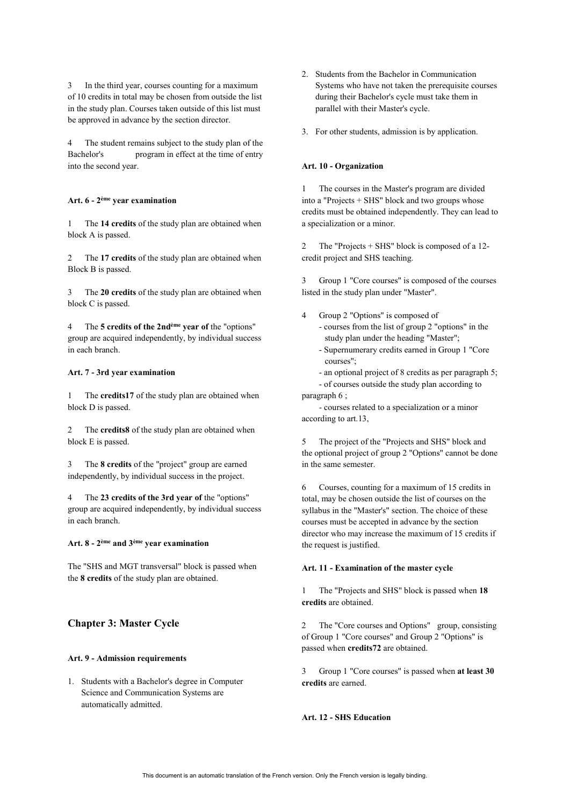In the third year, courses counting for a maximum of 10 credits in total may be chosen from outside the list in the study plan. Courses taken outside of this list must be approved in advance by the section director.

4 The student remains subject to the study plan of the Bachelor's program in effect at the time of entry program in effect at the time of entry into the second year.

#### **Art. 6 - 2ème year examination**

1 The **14 credits** of the study plan are obtained when block A is passed.

The 17 credits of the study plan are obtained when Block B is passed.

3 The **20 credits** of the study plan are obtained when block C is passed.

4 The **5 credits of the 2ndème year of** the "options" group are acquired independently, by individual success in each branch.

### **Art. 7 - 3rd year examination**

1 The **credits17** of the study plan are obtained when block D is passed.

The **credits8** of the study plan are obtained when block E is passed.

3 The **8 credits** of the "project" group are earned independently, by individual success in the project.

4 The **23 credits of the 3rd year of** the "options" group are acquired independently, by individual success in each branch.

## **Art. 8 - 2ème and 3ème year examination**

The "SHS and MGT transversal" block is passed when the **8 credits** of the study plan are obtained.

## **Chapter 3: Master Cycle**

#### **Art. 9 - Admission requirements**

1. Students with a Bachelor's degree in Computer Science and Communication Systems are automatically admitted.

- 2. Students from the Bachelor in Communication Systems who have not taken the prerequisite courses during their Bachelor's cycle must take them in parallel with their Master's cycle.
- 3. For other students, admission is by application.

#### **Art. 10 - Organization**

1 The courses in the Master's program are divided into a "Projects + SHS" block and two groups whose credits must be obtained independently. They can lead to a specialization or a minor.

2 The "Projects + SHS" block is composed of a 12 credit project and SHS teaching.

3 Group 1 "Core courses" is composed of the courses listed in the study plan under "Master".

- 4 Group 2 "Options" is composed of - courses from the list of group 2 "options" in the study plan under the heading "Master";
	- Supernumerary credits earned in Group 1 "Core courses";
	- an optional project of 8 credits as per paragraph 5;
- of courses outside the study plan according to paragraph 6 ;

 - courses related to a specialization or a minor according to art.13,

5 The project of the "Projects and SHS" block and the optional project of group 2 "Options" cannot be done in the same semester.

6 Courses, counting for a maximum of 15 credits in total, may be chosen outside the list of courses on the syllabus in the "Master's" section. The choice of these courses must be accepted in advance by the section director who may increase the maximum of 15 credits if the request is justified.

#### **Art. 11 - Examination of the master cycle**

1 The "Projects and SHS" block is passed when **18 credits** are obtained.

2 The "Core courses and Options" group, consisting of Group 1 "Core courses" and Group 2 "Options" is passed when **credits72** are obtained.

3 Group 1 "Core courses" is passed when **at least 30 credits** are earned.

#### **Art. 12 - SHS Education**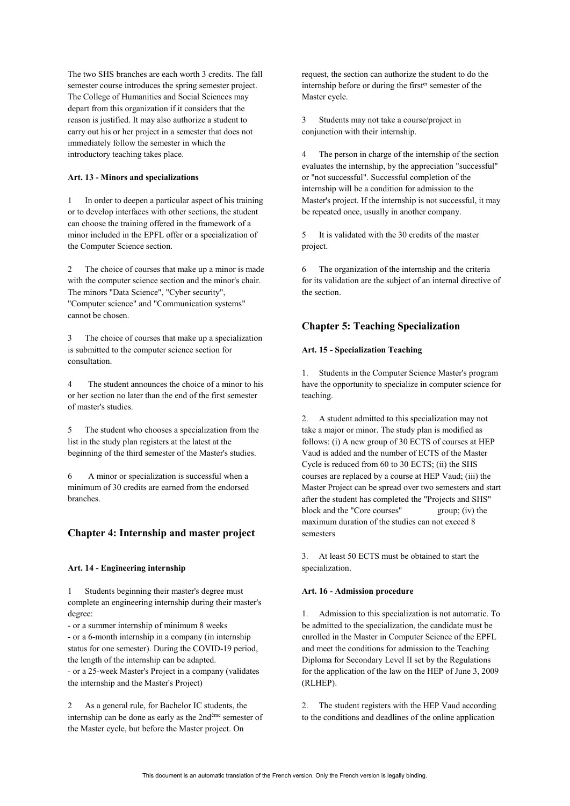The two SHS branches are each worth 3 credits. The fall semester course introduces the spring semester project. The College of Humanities and Social Sciences may depart from this organization if it considers that the reason is justified. It may also authorize a student to carry out his or her project in a semester that does not immediately follow the semester in which the introductory teaching takes place.

### **Art. 13 - Minors and specializations**

1 In order to deepen a particular aspect of his training or to develop interfaces with other sections, the student can choose the training offered in the framework of a minor included in the EPFL offer or a specialization of the Computer Science section.

2 The choice of courses that make up a minor is made with the computer science section and the minor's chair. The minors "Data Science", "Cyber security", "Computer science" and "Communication systems" cannot be chosen.

3 The choice of courses that make up a specialization is submitted to the computer science section for consultation.

4 The student announces the choice of a minor to his or her section no later than the end of the first semester of master's studies.

5 The student who chooses a specialization from the list in the study plan registers at the latest at the beginning of the third semester of the Master's studies.

6 A minor or specialization is successful when a minimum of 30 credits are earned from the endorsed branches.

### **Chapter 4: Internship and master project**

#### **Art. 14 - Engineering internship**

1 Students beginning their master's degree must complete an engineering internship during their master's degree:

- or a summer internship of minimum 8 weeks - or a 6-month internship in a company (in internship status for one semester). During the COVID-19 period, the length of the internship can be adapted.

- or a 25-week Master's Project in a company (validates the internship and the Master's Project)

2 As a general rule, for Bachelor IC students, the internship can be done as early as the 2ndème semester of the Master cycle, but before the Master project. On

request, the section can authorize the student to do the internship before or during the firster semester of the Master cycle.

3 Students may not take a course/project in conjunction with their internship.

4 The person in charge of the internship of the section evaluates the internship, by the appreciation "successful" or "not successful". Successful completion of the internship will be a condition for admission to the Master's project. If the internship is not successful, it may be repeated once, usually in another company.

5 It is validated with the 30 credits of the master project.

6 The organization of the internship and the criteria for its validation are the subject of an internal directive of the section.

## **Chapter 5: Teaching Specialization**

### **Art. 15 - Specialization Teaching**

1. Students in the Computer Science Master's program have the opportunity to specialize in computer science for teaching.

2. A student admitted to this specialization may not take a major or minor. The study plan is modified as follows: (i) A new group of 30 ECTS of courses at HEP Vaud is added and the number of ECTS of the Master Cycle is reduced from 60 to 30 ECTS; (ii) the SHS courses are replaced by a course at HEP Vaud; (iii) the Master Project can be spread over two semesters and start after the student has completed the "Projects and SHS" block and the "Core courses" group; (iv) the maximum duration of the studies can not exceed 8 semesters

3. At least 50 ECTS must be obtained to start the specialization.

#### **Art. 16 - Admission procedure**

1. Admission to this specialization is not automatic. To be admitted to the specialization, the candidate must be enrolled in the Master in Computer Science of the EPFL and meet the conditions for admission to the Teaching Diploma for Secondary Level II set by the Regulations for the application of the law on the HEP of June 3, 2009 (RLHEP).

2. The student registers with the HEP Vaud according to the conditions and deadlines of the online application